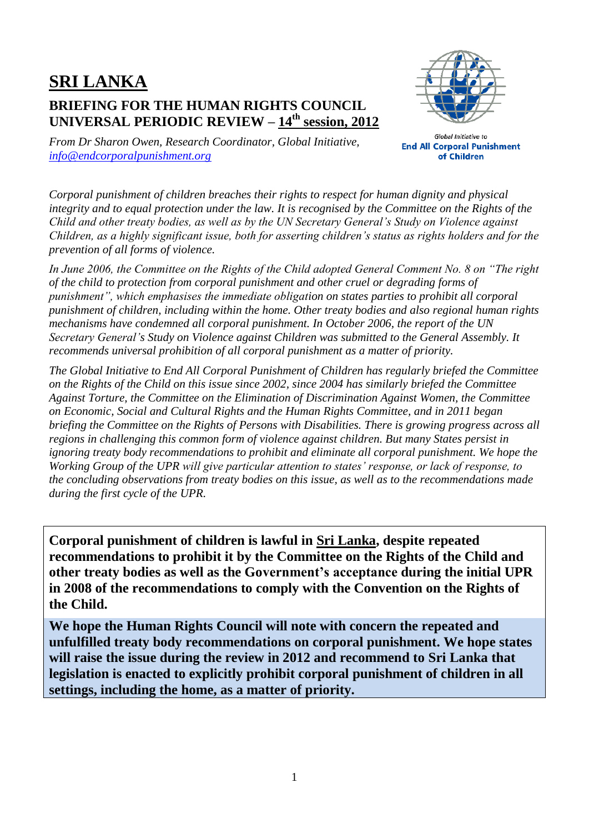## **SRI LANKA BRIEFING FOR THE HUMAN RIGHTS COUNCIL UNIVERSAL PERIODIC REVIEW – 14th session, 2012**



*From Dr Sharon Owen, Research Coordinator, Global Initiative, [info@endcorporalpunishment.org](mailto:info@endcorporalpunishment.org)*

Global Initiative to **End All Corporal Punishment** of Children

*Corporal punishment of children breaches their rights to respect for human dignity and physical integrity and to equal protection under the law. It is recognised by the Committee on the Rights of the Child and other treaty bodies, as well as by the UN Secretary General's Study on Violence against Children, as a highly significant issue, both for asserting children's status as rights holders and for the prevention of all forms of violence.*

*In June 2006, the Committee on the Rights of the Child adopted General Comment No. 8 on "The right of the child to protection from corporal punishment and other cruel or degrading forms of punishment", which emphasises the immediate obligation on states parties to prohibit all corporal punishment of children, including within the home. Other treaty bodies and also regional human rights mechanisms have condemned all corporal punishment. In October 2006, the report of the UN Secretary General's Study on Violence against Children was submitted to the General Assembly. It recommends universal prohibition of all corporal punishment as a matter of priority.*

*The Global Initiative to End All Corporal Punishment of Children has regularly briefed the Committee on the Rights of the Child on this issue since 2002, since 2004 has similarly briefed the Committee Against Torture, the Committee on the Elimination of Discrimination Against Women, the Committee on Economic, Social and Cultural Rights and the Human Rights Committee, and in 2011 began briefing the Committee on the Rights of Persons with Disabilities. There is growing progress across all regions in challenging this common form of violence against children. But many States persist in ignoring treaty body recommendations to prohibit and eliminate all corporal punishment. We hope the Working Group of the UPR will give particular attention to states' response, or lack of response, to the concluding observations from treaty bodies on this issue, as well as to the recommendations made during the first cycle of the UPR.*

**Corporal punishment of children is lawful in Sri Lanka, despite repeated recommendations to prohibit it by the Committee on the Rights of the Child and other treaty bodies as well as the Government's acceptance during the initial UPR in 2008 of the recommendations to comply with the Convention on the Rights of the Child.**

**We hope the Human Rights Council will note with concern the repeated and unfulfilled treaty body recommendations on corporal punishment. We hope states will raise the issue during the review in 2012 and recommend to Sri Lanka that legislation is enacted to explicitly prohibit corporal punishment of children in all settings, including the home, as a matter of priority.**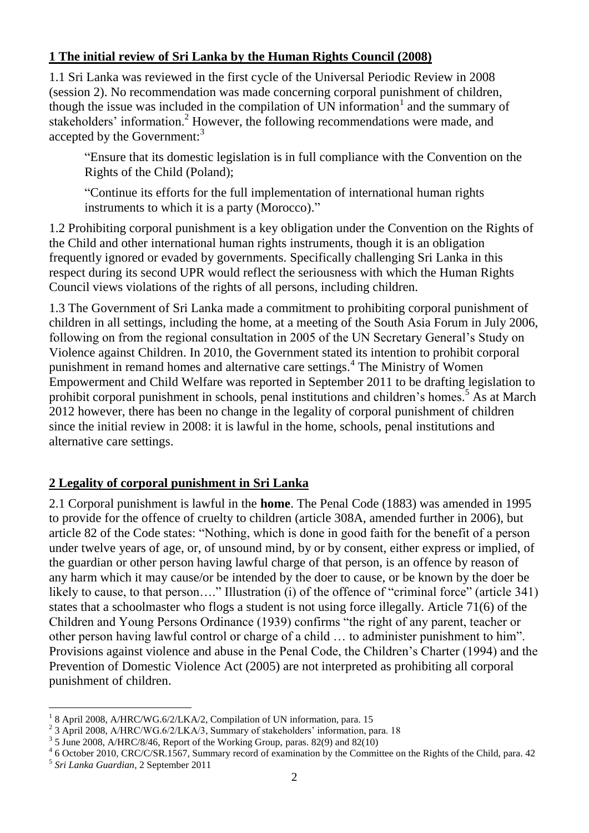## **1 The initial review of Sri Lanka by the Human Rights Council (2008)**

1.1 Sri Lanka was reviewed in the first cycle of the Universal Periodic Review in 2008 (session 2). No recommendation was made concerning corporal punishment of children, though the issue was included in the compilation of UN information<sup>1</sup> and the summary of stakeholders' information.<sup>2</sup> However, the following recommendations were made, and accepted by the Government: $^3$ 

"Ensure that its domestic legislation is in full compliance with the Convention on the Rights of the Child (Poland);

"Continue its efforts for the full implementation of international human rights instruments to which it is a party (Morocco)."

1.2 Prohibiting corporal punishment is a key obligation under the Convention on the Rights of the Child and other international human rights instruments, though it is an obligation frequently ignored or evaded by governments. Specifically challenging Sri Lanka in this respect during its second UPR would reflect the seriousness with which the Human Rights Council views violations of the rights of all persons, including children.

1.3 The Government of Sri Lanka made a commitment to prohibiting corporal punishment of children in all settings, including the home, at a meeting of the South Asia Forum in July 2006, following on from the regional consultation in 2005 of the UN Secretary General's Study on Violence against Children. In 2010, the Government stated its intention to prohibit corporal punishment in remand homes and alternative care settings.<sup>4</sup> The Ministry of Women Empowerment and Child Welfare was reported in September 2011 to be drafting legislation to prohibit corporal punishment in schools, penal institutions and children's homes.<sup>5</sup> As at March 2012 however, there has been no change in the legality of corporal punishment of children since the initial review in 2008: it is lawful in the home, schools, penal institutions and alternative care settings.

## **2 Legality of corporal punishment in Sri Lanka**

2.1 Corporal punishment is lawful in the **home**. The Penal Code (1883) was amended in 1995 to provide for the offence of cruelty to children (article 308A, amended further in 2006), but article 82 of the Code states: "Nothing, which is done in good faith for the benefit of a person under twelve years of age, or, of unsound mind, by or by consent, either express or implied, of the guardian or other person having lawful charge of that person, is an offence by reason of any harm which it may cause/or be intended by the doer to cause, or be known by the doer be likely to cause, to that person...." Illustration (i) of the offence of "criminal force" (article 341) states that a schoolmaster who flogs a student is not using force illegally. Article 71(6) of the Children and Young Persons Ordinance (1939) confirms "the right of any parent, teacher or other person having lawful control or charge of a child … to administer punishment to him". Provisions against violence and abuse in the Penal Code, the Children's Charter (1994) and the Prevention of Domestic Violence Act (2005) are not interpreted as prohibiting all corporal punishment of children.

 $\overline{a}$ <sup>1</sup> 8 April 2008, A/HRC/WG.6/2/LKA/2, Compilation of UN information, para. 15

<sup>&</sup>lt;sup>2</sup> 3 April 2008, A/HRC/WG.6/2/LKA/3, Summary of stakeholders' information, para. 18

 $3$  5 June 2008, A/HRC/8/46, Report of the Working Group, paras. 82(9) and 82(10)

<sup>&</sup>lt;sup>4</sup> 6 October 2010, CRC/C/SR.1567, Summary record of examination by the Committee on the Rights of the Child, para. 42

<sup>5</sup> *Sri Lanka Guardian*, 2 September 2011